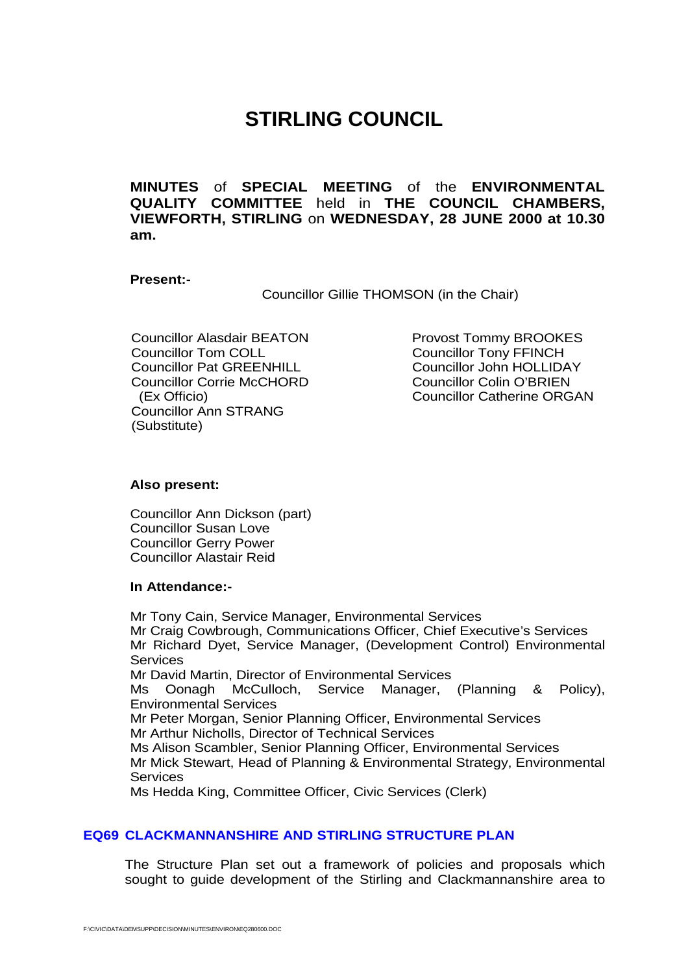# **STIRLING COUNCIL**

<span id="page-0-0"></span>**MINUTES** of **SPECIAL MEETING** of the **ENVIRONMENTAL QUALITY COMMITTEE** held in **THE COUNCIL CHAMBERS, VIEWFORTH, STIRLING** on **WEDNESDAY, 28 JUNE 2000 at 10.30 am.**

### **Present:-**

Councillor Gillie THOMSON (in the Chair)

Councillor Alasdair BEATON<br>
Councillor Tom COLL
Councillor Tom COLL
Councillor Tom COLL
COUNCIL Councillor Pat GREENHILL<br>
Councillor Corrie McCHORD
Councillor Colin O'BRIEN
Councillor Colin O'BRIEN Councillor Corrie McCHORD Councillor Ann STRANG (Substitute)

Councillor Tony FFINCH (Ex Officio) Councillor Catherine ORGAN

#### **Also present:**

Councillor Ann Dickson (part) Councillor Susan Love Councillor Gerry Power Councillor Alastair Reid

#### **In Attendance:-**

Mr Tony Cain, Service Manager, Environmental Services Mr Craig Cowbrough, Communications Officer, Chief Executive's Services Mr Richard Dyet, Service Manager, (Development Control) Environmental **Services** Mr David Martin, Director of Environmental Services Ms Oonagh McCulloch, Service Manager, (Planning & Policy), Environmental Services Mr Peter Morgan, Senior Planning Officer, Environmental Services Mr Arthur Nicholls, Director of Technical Services Ms Alison Scambler, Senior Planning Officer, Environmental Services Mr Mick Stewart, Head of Planning & Environmental Strategy, Environmental **Services** Ms Hedda King, Committee Officer, Civic Services (Clerk)

## **EQ69 CLACKMANNANSHIRE AND STIRLING STRUCTURE PLAN**

The Structure Plan set out a framework of policies and proposals which sought to guide development of the Stirling and Clackmannanshire area to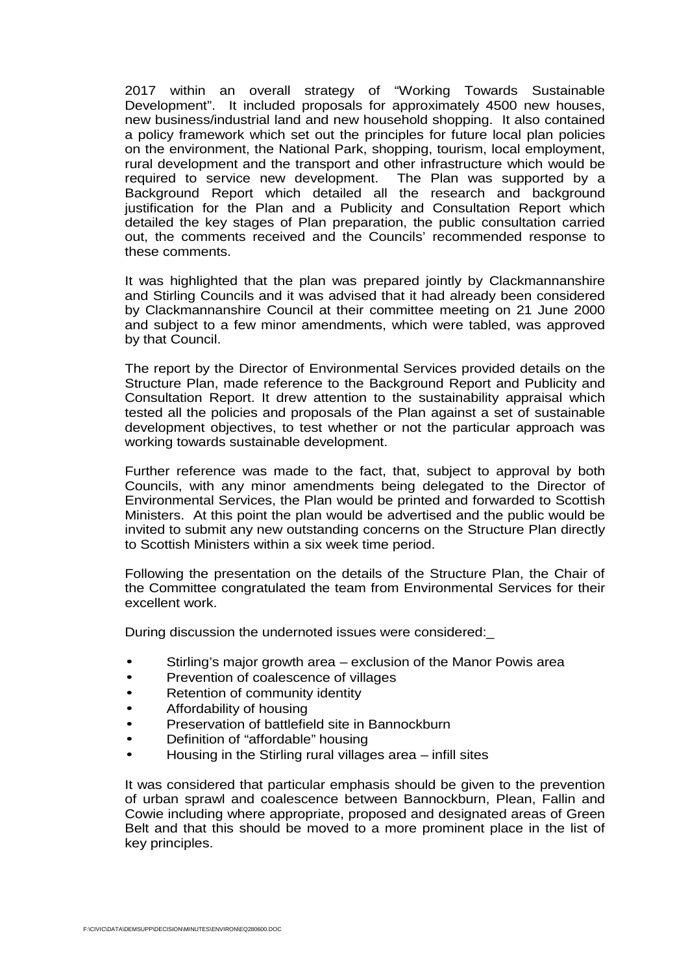2017 within an overall strategy of "Working Towards Sustainable Development". It included proposals for approximately 4500 new houses, new business/industrial land and new household shopping. It also contained a policy framework which set out the principles for future local plan policies on the environment, the National Park, shopping, tourism, local employment, rural development and the transport and other infrastructure which would be required to service new development. The Plan was supported by a Background Report which detailed all the research and background justification for the Plan and a Publicity and Consultation Report which detailed the key stages of Plan preparation, the public consultation carried out, the comments received and the Councils' recommended response to these comments.

It was highlighted that the plan was prepared jointly by Clackmannanshire and Stirling Councils and it was advised that it had already been considered by Clackmannanshire Council at their committee meeting on 21 June 2000 and subject to a few minor amendments, which were tabled, was approved by that Council.

The report by the Director of Environmental Services provided details on the Structure Plan, made reference to the Background Report and Publicity and Consultation Report. It drew attention to the sustainability appraisal which tested all the policies and proposals of the Plan against a set of sustainable development objectives, to test whether or not the particular approach was working towards sustainable development.

Further reference was made to the fact, that, subject to approval by both Councils, with any minor amendments being delegated to the Director of Environmental Services, the Plan would be printed and forwarded to Scottish Ministers. At this point the plan would be advertised and the public would be invited to submit any new outstanding concerns on the Structure Plan directly to Scottish Ministers within a six week time period.

Following the presentation on the details of the Structure Plan, the Chair of the Committee congratulated the team from Environmental Services for their excellent work.

During discussion the undernoted issues were considered:\_

- Stirling's major growth area exclusion of the Manor Powis area
- Prevention of coalescence of villages
- Retention of community identity
- Affordability of housing
- Preservation of battlefield site in Bannockburn
- Definition of "affordable" housing
- Housing in the Stirling rural villages area infill sites

It was considered that particular emphasis should be given to the prevention of urban sprawl and coalescence between Bannockburn, Plean, Fallin and Cowie including where appropriate, proposed and designated areas of Green Belt and that this should be moved to a more prominent place in the list of key principles.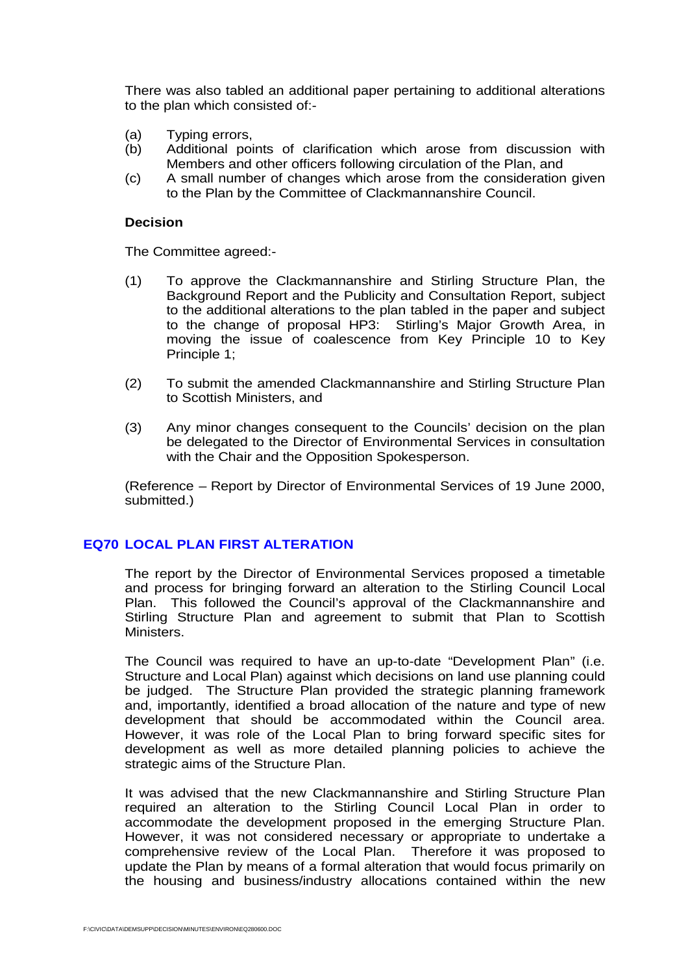There was also tabled an additional paper pertaining to additional alterations to the plan which consisted of:-

- (a) Typing errors,
- (b) Additional points of clarification which arose from discussion with Members and other officers following circulation of the Plan, and
- (c) A small number of changes which arose from the consideration given to the Plan by the Committee of Clackmannanshire Council.

#### **Decision**

The Committee agreed:-

- (1) To approve the Clackmannanshire and Stirling Structure Plan, the Background Report and the Publicity and Consultation Report, subject to the additional alterations to the plan tabled in the paper and subject to the change of proposal HP3: Stirling's Major Growth Area, in moving the issue of coalescence from Key Principle 10 to Key Principle 1;
- (2) To submit the amended Clackmannanshire and Stirling Structure Plan to Scottish Ministers, and
- (3) Any minor changes consequent to the Councils' decision on the plan be delegated to the Director of Environmental Services in consultation with the Chair and the Opposition Spokesperson.

(Reference – Report by Director of Environmental Services of 19 June 2000, submitted.)

## **EQ70 LOCAL PLAN [FIRST ALTERATION](#page-0-0)**

The report by the Director of Environmental Services proposed a timetable and process for bringing forward an alteration to the Stirling Council Local Plan. This followed the Council's approval of the Clackmannanshire and Stirling Structure Plan and agreement to submit that Plan to Scottish Ministers.

The Council was required to have an up-to-date "Development Plan" (i.e. Structure and Local Plan) against which decisions on land use planning could be judged. The Structure Plan provided the strategic planning framework and, importantly, identified a broad allocation of the nature and type of new development that should be accommodated within the Council area. However, it was role of the Local Plan to bring forward specific sites for development as well as more detailed planning policies to achieve the strategic aims of the Structure Plan.

It was advised that the new Clackmannanshire and Stirling Structure Plan required an alteration to the Stirling Council Local Plan in order to accommodate the development proposed in the emerging Structure Plan. However, it was not considered necessary or appropriate to undertake a comprehensive review of the Local Plan. Therefore it was proposed to update the Plan by means of a formal alteration that would focus primarily on the housing and business/industry allocations contained within the new